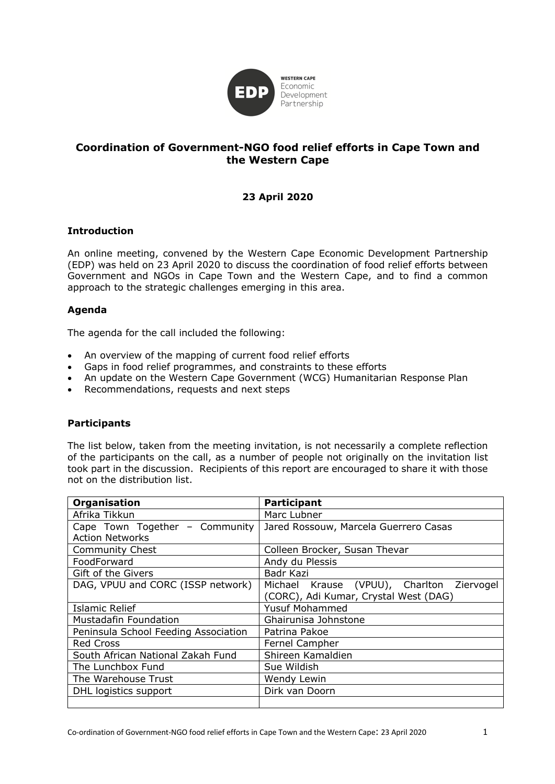

# **Coordination of Government-NGO food relief efforts in Cape Town and the Western Cape**

## **23 April 2020**

## **Introduction**

An online meeting, convened by the Western Cape Economic Development Partnership (EDP) was held on 23 April 2020 to discuss the coordination of food relief efforts between Government and NGOs in Cape Town and the Western Cape, and to find a common approach to the strategic challenges emerging in this area.

## **Agenda**

The agenda for the call included the following:

- An overview of the mapping of current food relief efforts
- Gaps in food relief programmes, and constraints to these efforts
- An update on the Western Cape Government (WCG) Humanitarian Response Plan
- Recommendations, requests and next steps

## **Participants**

The list below, taken from the meeting invitation, is not necessarily a complete reflection of the participants on the call, as a number of people not originally on the invitation list took part in the discussion. Recipients of this report are encouraged to share it with those not on the distribution list.

| Organisation                                             | <b>Participant</b>                           |  |  |  |  |
|----------------------------------------------------------|----------------------------------------------|--|--|--|--|
| Afrika Tikkun                                            | Marc Lubner                                  |  |  |  |  |
| Cape Town Together - Community<br><b>Action Networks</b> | Jared Rossouw, Marcela Guerrero Casas        |  |  |  |  |
| <b>Community Chest</b>                                   | Colleen Brocker, Susan Thevar                |  |  |  |  |
| FoodForward                                              | Andy du Plessis                              |  |  |  |  |
| Gift of the Givers                                       | Badr Kazi                                    |  |  |  |  |
| DAG, VPUU and CORC (ISSP network)                        | Michael Krause (VPUU), Charlton<br>Ziervogel |  |  |  |  |
|                                                          | (CORC), Adi Kumar, Crystal West (DAG)        |  |  |  |  |
| <b>Islamic Relief</b>                                    | <b>Yusuf Mohammed</b>                        |  |  |  |  |
| <b>Mustadafin Foundation</b>                             | Ghairunisa Johnstone                         |  |  |  |  |
| Peninsula School Feeding Association                     | Patrina Pakoe                                |  |  |  |  |
| <b>Red Cross</b>                                         | Fernel Campher                               |  |  |  |  |
| South African National Zakah Fund                        | Shireen Kamaldien                            |  |  |  |  |
| The Lunchbox Fund                                        | Sue Wildish                                  |  |  |  |  |
| The Warehouse Trust                                      | Wendy Lewin                                  |  |  |  |  |
| DHL logistics support                                    | Dirk van Doorn                               |  |  |  |  |
|                                                          |                                              |  |  |  |  |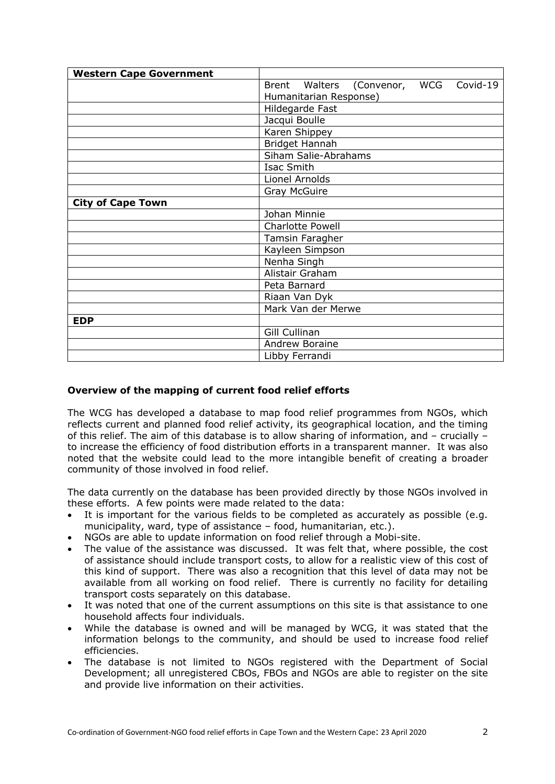| <b>Western Cape Government</b> |                        |  |                              |  |          |  |
|--------------------------------|------------------------|--|------------------------------|--|----------|--|
|                                |                        |  | Brent Walters (Convenor, WCG |  | Covid-19 |  |
|                                | Humanitarian Response) |  |                              |  |          |  |
|                                | Hildegarde Fast        |  |                              |  |          |  |
|                                | Jacqui Boulle          |  |                              |  |          |  |
|                                | Karen Shippey          |  |                              |  |          |  |
|                                | Bridget Hannah         |  |                              |  |          |  |
|                                | Siham Salie-Abrahams   |  |                              |  |          |  |
|                                | Isac Smith             |  |                              |  |          |  |
|                                | Lionel Arnolds         |  |                              |  |          |  |
|                                | <b>Gray McGuire</b>    |  |                              |  |          |  |
| <b>City of Cape Town</b>       |                        |  |                              |  |          |  |
|                                | Johan Minnie           |  |                              |  |          |  |
|                                | Charlotte Powell       |  |                              |  |          |  |
|                                | Tamsin Faragher        |  |                              |  |          |  |
|                                | Kayleen Simpson        |  |                              |  |          |  |
|                                | Nenha Singh            |  |                              |  |          |  |
|                                | Alistair Graham        |  |                              |  |          |  |
|                                | Peta Barnard           |  |                              |  |          |  |
|                                | Riaan Van Dyk          |  |                              |  |          |  |
|                                | Mark Van der Merwe     |  |                              |  |          |  |
| <b>EDP</b>                     |                        |  |                              |  |          |  |
|                                | Gill Cullinan          |  |                              |  |          |  |
|                                | Andrew Boraine         |  |                              |  |          |  |
|                                | Libby Ferrandi         |  |                              |  |          |  |

## **Overview of the mapping of current food relief efforts**

The WCG has developed a database to map food relief programmes from NGOs, which reflects current and planned food relief activity, its geographical location, and the timing of this relief. The aim of this database is to allow sharing of information, and – crucially – to increase the efficiency of food distribution efforts in a transparent manner. It was also noted that the website could lead to the more intangible benefit of creating a broader community of those involved in food relief.

The data currently on the database has been provided directly by those NGOs involved in these efforts. A few points were made related to the data:

- It is important for the various fields to be completed as accurately as possible (e.g. municipality, ward, type of assistance – food, humanitarian, etc.).
- NGOs are able to update information on food relief through a Mobi-site.
- The value of the assistance was discussed. It was felt that, where possible, the cost of assistance should include transport costs, to allow for a realistic view of this cost of this kind of support. There was also a recognition that this level of data may not be available from all working on food relief. There is currently no facility for detailing transport costs separately on this database.
- It was noted that one of the current assumptions on this site is that assistance to one household affects four individuals.
- While the database is owned and will be managed by WCG, it was stated that the information belongs to the community, and should be used to increase food relief efficiencies.
- The database is not limited to NGOs registered with the Department of Social Development; all unregistered CBOs, FBOs and NGOs are able to register on the site and provide live information on their activities.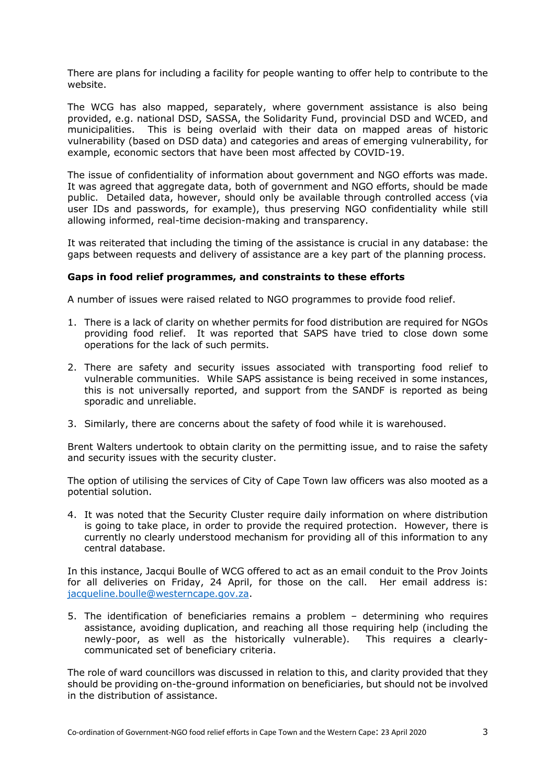There are plans for including a facility for people wanting to offer help to contribute to the website.

The WCG has also mapped, separately, where government assistance is also being provided, e.g. national DSD, SASSA, the Solidarity Fund, provincial DSD and WCED, and municipalities. This is being overlaid with their data on mapped areas of historic vulnerability (based on DSD data) and categories and areas of emerging vulnerability, for example, economic sectors that have been most affected by COVID-19.

The issue of confidentiality of information about government and NGO efforts was made. It was agreed that aggregate data, both of government and NGO efforts, should be made public. Detailed data, however, should only be available through controlled access (via user IDs and passwords, for example), thus preserving NGO confidentiality while still allowing informed, real-time decision-making and transparency.

It was reiterated that including the timing of the assistance is crucial in any database: the gaps between requests and delivery of assistance are a key part of the planning process.

#### **Gaps in food relief programmes, and constraints to these efforts**

A number of issues were raised related to NGO programmes to provide food relief.

- 1. There is a lack of clarity on whether permits for food distribution are required for NGOs providing food relief. It was reported that SAPS have tried to close down some operations for the lack of such permits.
- 2. There are safety and security issues associated with transporting food relief to vulnerable communities. While SAPS assistance is being received in some instances, this is not universally reported, and support from the SANDF is reported as being sporadic and unreliable.
- 3. Similarly, there are concerns about the safety of food while it is warehoused.

Brent Walters undertook to obtain clarity on the permitting issue, and to raise the safety and security issues with the security cluster.

The option of utilising the services of City of Cape Town law officers was also mooted as a potential solution.

4. It was noted that the Security Cluster require daily information on where distribution is going to take place, in order to provide the required protection. However, there is currently no clearly understood mechanism for providing all of this information to any central database.

In this instance, Jacqui Boulle of WCG offered to act as an email conduit to the Prov Joints for all deliveries on Friday, 24 April, for those on the call. Her email address is: jacqueline.boulle@westerncape.gov.za.

5. The identification of beneficiaries remains a problem – determining who requires assistance, avoiding duplication, and reaching all those requiring help (including the newly-poor, as well as the historically vulnerable). This requires a clearlycommunicated set of beneficiary criteria.

The role of ward councillors was discussed in relation to this, and clarity provided that they should be providing on-the-ground information on beneficiaries, but should not be involved in the distribution of assistance.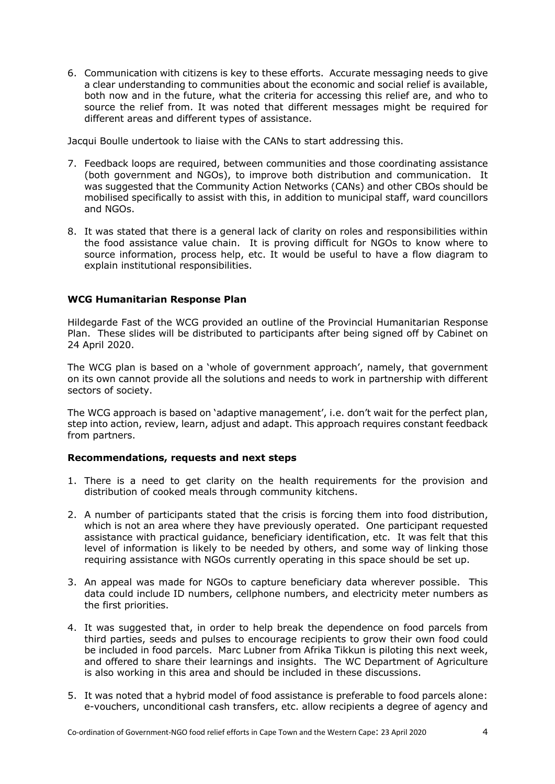6. Communication with citizens is key to these efforts. Accurate messaging needs to give a clear understanding to communities about the economic and social relief is available, both now and in the future, what the criteria for accessing this relief are, and who to source the relief from. It was noted that different messages might be required for different areas and different types of assistance.

Jacqui Boulle undertook to liaise with the CANs to start addressing this.

- 7. Feedback loops are required, between communities and those coordinating assistance (both government and NGOs), to improve both distribution and communication. It was suggested that the Community Action Networks (CANs) and other CBOs should be mobilised specifically to assist with this, in addition to municipal staff, ward councillors and NGOs.
- 8. It was stated that there is a general lack of clarity on roles and responsibilities within the food assistance value chain. It is proving difficult for NGOs to know where to source information, process help, etc. It would be useful to have a flow diagram to explain institutional responsibilities.

#### **WCG Humanitarian Response Plan**

Hildegarde Fast of the WCG provided an outline of the Provincial Humanitarian Response Plan. These slides will be distributed to participants after being signed off by Cabinet on 24 April 2020.

The WCG plan is based on a 'whole of government approach', namely, that government on its own cannot provide all the solutions and needs to work in partnership with different sectors of society.

The WCG approach is based on 'adaptive management', i.e. don't wait for the perfect plan, step into action, review, learn, adjust and adapt. This approach requires constant feedback from partners.

#### **Recommendations, requests and next steps**

- 1. There is a need to get clarity on the health requirements for the provision and distribution of cooked meals through community kitchens.
- 2. A number of participants stated that the crisis is forcing them into food distribution, which is not an area where they have previously operated. One participant requested assistance with practical guidance, beneficiary identification, etc. It was felt that this level of information is likely to be needed by others, and some way of linking those requiring assistance with NGOs currently operating in this space should be set up.
- 3. An appeal was made for NGOs to capture beneficiary data wherever possible. This data could include ID numbers, cellphone numbers, and electricity meter numbers as the first priorities.
- 4. It was suggested that, in order to help break the dependence on food parcels from third parties, seeds and pulses to encourage recipients to grow their own food could be included in food parcels. Marc Lubner from Afrika Tikkun is piloting this next week, and offered to share their learnings and insights. The WC Department of Agriculture is also working in this area and should be included in these discussions.
- 5. It was noted that a hybrid model of food assistance is preferable to food parcels alone: e-vouchers, unconditional cash transfers, etc. allow recipients a degree of agency and